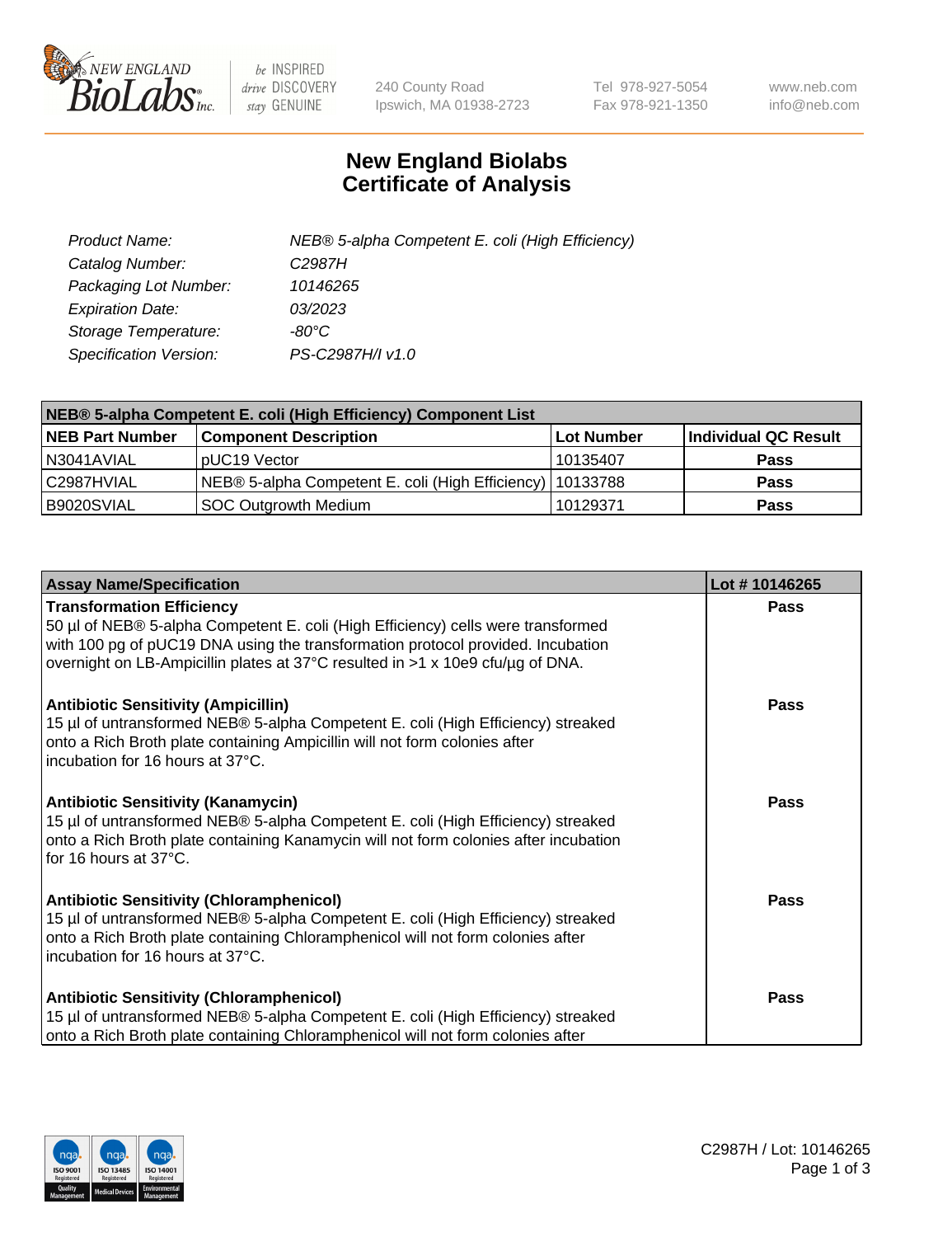

 $be$  INSPIRED drive DISCOVERY stay GENUINE

240 County Road Ipswich, MA 01938-2723 Tel 978-927-5054 Fax 978-921-1350 www.neb.com info@neb.com

## **New England Biolabs Certificate of Analysis**

| Product Name:           | NEB® 5-alpha Competent E. coli (High Efficiency) |
|-------------------------|--------------------------------------------------|
| Catalog Number:         | C <sub>2987</sub> H                              |
| Packaging Lot Number:   | 10146265                                         |
| <b>Expiration Date:</b> | 03/2023                                          |
| Storage Temperature:    | -80°C                                            |
| Specification Version:  | PS-C2987H/I v1.0                                 |

| NEB® 5-alpha Competent E. coli (High Efficiency) Component List |                                                             |                   |                      |  |
|-----------------------------------------------------------------|-------------------------------------------------------------|-------------------|----------------------|--|
| <b>NEB Part Number</b>                                          | <b>Component Description</b>                                | <b>Lot Number</b> | Individual QC Result |  |
| IN3041AVIAL                                                     | pUC19 Vector                                                | 10135407          | <b>Pass</b>          |  |
| C2987HVIAL                                                      | NEB® 5-alpha Competent E. coli (High Efficiency)   10133788 |                   | <b>Pass</b>          |  |
| B9020SVIAL                                                      | <b>SOC Outgrowth Medium</b>                                 | 10129371          | <b>Pass</b>          |  |

| <b>Assay Name/Specification</b>                                                                                                                                                                                                                                                           | Lot #10146265 |
|-------------------------------------------------------------------------------------------------------------------------------------------------------------------------------------------------------------------------------------------------------------------------------------------|---------------|
| <b>Transformation Efficiency</b><br>50 µl of NEB® 5-alpha Competent E. coli (High Efficiency) cells were transformed<br>with 100 pg of pUC19 DNA using the transformation protocol provided. Incubation<br>overnight on LB-Ampicillin plates at 37°C resulted in >1 x 10e9 cfu/µg of DNA. | Pass          |
| <b>Antibiotic Sensitivity (Ampicillin)</b><br>15 µl of untransformed NEB® 5-alpha Competent E. coli (High Efficiency) streaked<br>onto a Rich Broth plate containing Ampicillin will not form colonies after<br>incubation for 16 hours at 37°C.                                          | Pass          |
| <b>Antibiotic Sensitivity (Kanamycin)</b><br>15 µl of untransformed NEB® 5-alpha Competent E. coli (High Efficiency) streaked<br>onto a Rich Broth plate containing Kanamycin will not form colonies after incubation<br>for 16 hours at 37°C.                                            | Pass          |
| <b>Antibiotic Sensitivity (Chloramphenicol)</b><br>15 µl of untransformed NEB® 5-alpha Competent E. coli (High Efficiency) streaked<br>onto a Rich Broth plate containing Chloramphenicol will not form colonies after<br>incubation for 16 hours at 37°C.                                | Pass          |
| <b>Antibiotic Sensitivity (Chloramphenicol)</b><br>15 µl of untransformed NEB® 5-alpha Competent E. coli (High Efficiency) streaked<br>onto a Rich Broth plate containing Chloramphenicol will not form colonies after                                                                    | <b>Pass</b>   |

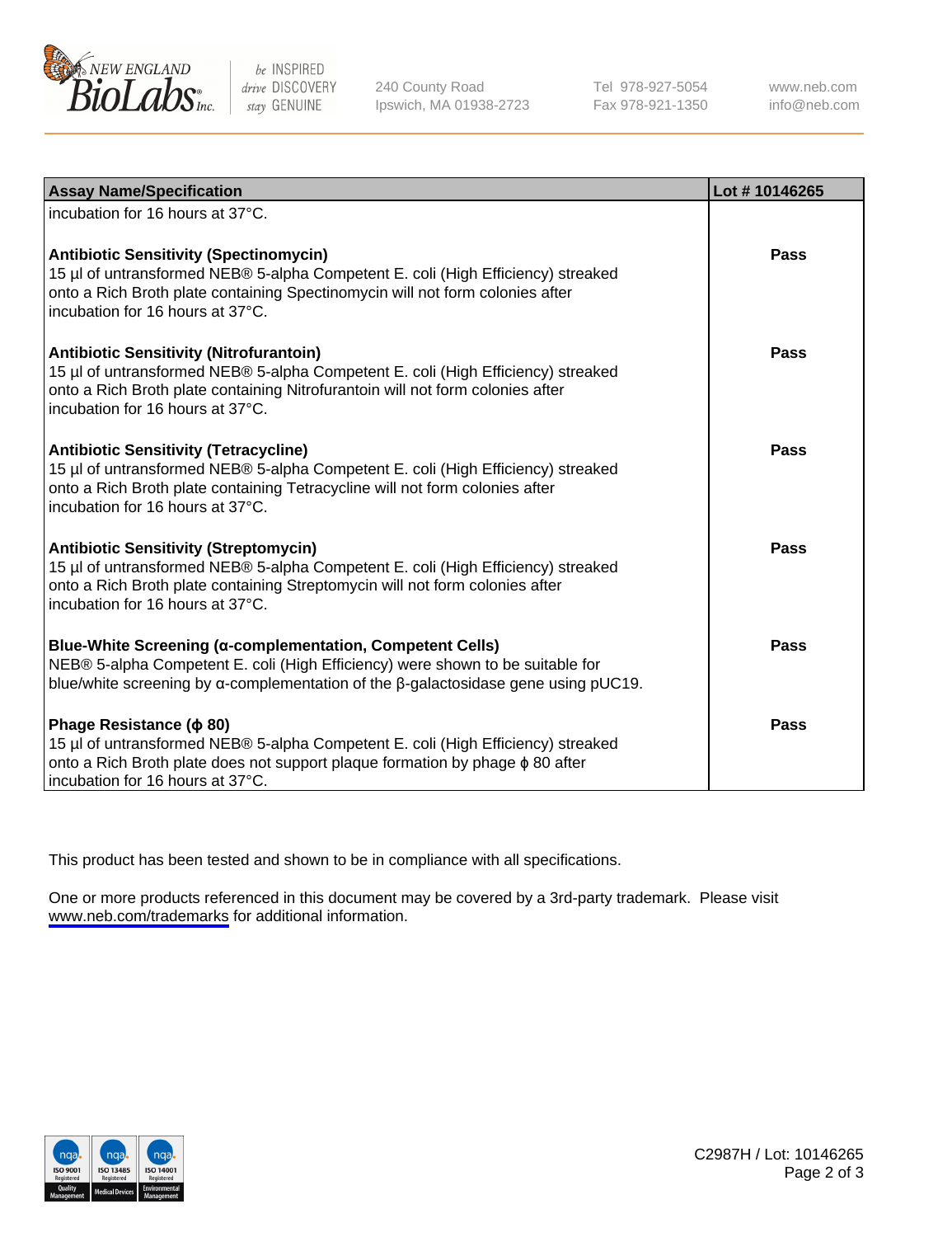

be INSPIRED drive DISCOVERY stay GENUINE

240 County Road Ipswich, MA 01938-2723 Tel 978-927-5054 Fax 978-921-1350

www.neb.com info@neb.com

| <b>Assay Name/Specification</b>                                                                                                                                                                                                                         | Lot #10146265 |
|---------------------------------------------------------------------------------------------------------------------------------------------------------------------------------------------------------------------------------------------------------|---------------|
| incubation for 16 hours at 37°C.                                                                                                                                                                                                                        |               |
| <b>Antibiotic Sensitivity (Spectinomycin)</b><br>15 µl of untransformed NEB® 5-alpha Competent E. coli (High Efficiency) streaked<br>onto a Rich Broth plate containing Spectinomycin will not form colonies after<br>incubation for 16 hours at 37°C.  | <b>Pass</b>   |
| Antibiotic Sensitivity (Nitrofurantoin)<br>15 µl of untransformed NEB® 5-alpha Competent E. coli (High Efficiency) streaked<br>onto a Rich Broth plate containing Nitrofurantoin will not form colonies after<br>incubation for 16 hours at 37°C.       | Pass          |
| <b>Antibiotic Sensitivity (Tetracycline)</b><br>15 µl of untransformed NEB® 5-alpha Competent E. coli (High Efficiency) streaked<br>onto a Rich Broth plate containing Tetracycline will not form colonies after<br>incubation for 16 hours at 37°C.    | Pass          |
| <b>Antibiotic Sensitivity (Streptomycin)</b><br>15 µl of untransformed NEB® 5-alpha Competent E. coli (High Efficiency) streaked<br>onto a Rich Broth plate containing Streptomycin will not form colonies after<br>incubation for 16 hours at 37°C.    | <b>Pass</b>   |
| <b>Blue-White Screening (α-complementation, Competent Cells)</b><br>NEB® 5-alpha Competent E. coli (High Efficiency) were shown to be suitable for<br>blue/white screening by $\alpha$ -complementation of the $\beta$ -galactosidase gene using pUC19. | Pass          |
| Phage Resistance ( $\phi$ 80)<br>15 µl of untransformed NEB® 5-alpha Competent E. coli (High Efficiency) streaked<br>onto a Rich Broth plate does not support plaque formation by phage $\phi$ 80 after<br>incubation for 16 hours at 37°C.             | Pass          |

This product has been tested and shown to be in compliance with all specifications.

One or more products referenced in this document may be covered by a 3rd-party trademark. Please visit <www.neb.com/trademarks>for additional information.